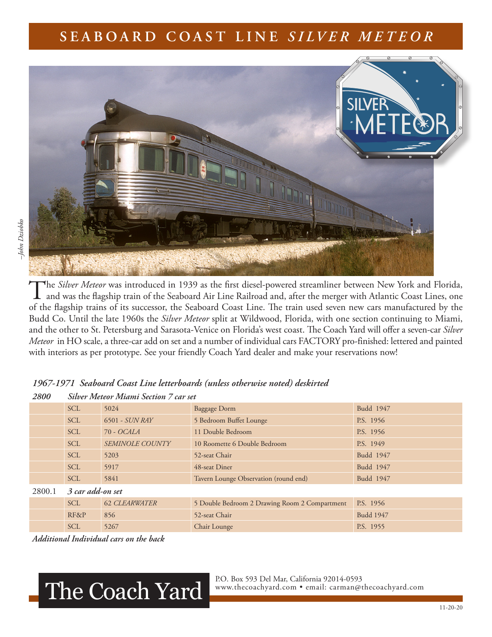## **SEABOARD COAST LINE** *SILVER METEOR*



The *Silver Meteor* was introduced in 1939 as the first diesel-powered streamliner between New York and Florida,<br>and was the flagship train of the Seaboard Air Line Railroad and, after the merger with Atlantic Coast Lines, of the flagship trains of its successor, the Seaboard Coast Line. The train used seven new cars manufactured by the Budd Co. Until the late 1960s the *Silver Meteor* split at Wildwood, Florida, with one section continuing to Miami, and the other to St. Petersburg and Sarasota-Venice on Florida's west coast. The Coach Yard will offer a seven-car *Silver Meteor* in HO scale, a three-car add on set and a number of individual cars FACTORY pro-finished: lettered and painted with interiors as per prototype. See your friendly Coach Yard dealer and make your reservations now!

| -000   | ONNET INICHOT INIMINA OCCANON / CMI SCA |                        |                                               |                  |  |  |  |  |
|--------|-----------------------------------------|------------------------|-----------------------------------------------|------------------|--|--|--|--|
|        | <b>SCL</b>                              | 5024                   | <b>Baggage Dorm</b>                           | Budd 1947        |  |  |  |  |
|        | <b>SCL</b>                              | 6501 - SUN RAY         | 5 Bedroom Buffet Lounge                       | P.S. 1956        |  |  |  |  |
|        | <b>SCL</b>                              | 70 - OCALA             | 11 Double Bedroom                             | P.S. 1956        |  |  |  |  |
|        | <b>SCL</b>                              | <b>SEMINOLE COUNTY</b> | 10 Roomette 6 Double Bedroom                  | P.S. 1949        |  |  |  |  |
|        | <b>SCL</b>                              | 5203                   | 52-seat Chair                                 | Budd 1947        |  |  |  |  |
|        | <b>SCL</b>                              | 5917                   | 48-seat Diner                                 | Budd 1947        |  |  |  |  |
|        | <b>SCL</b>                              | 5841                   | Tavern Lounge Observation (round end)         | Budd 1947        |  |  |  |  |
| 2800.1 | 3 car add-on set                        |                        |                                               |                  |  |  |  |  |
|        | <b>SCL</b>                              | <b>62 CLEARWATER</b>   | 5 Double Bedroom 2 Drawing Room 2 Compartment | P.S. 1956        |  |  |  |  |
|        | RF&P                                    | 856                    | 52-seat Chair                                 | <b>Budd 1947</b> |  |  |  |  |
|        | <b>SCL</b>                              | 5267                   | Chair Lounge                                  | P.S. 1955        |  |  |  |  |

|      | 1967-1971 Seaboard Coast Line letterboards (unless otherwise noted) deskirted |  |  |  |
|------|-------------------------------------------------------------------------------|--|--|--|
| 2800 | Silver Meteor Miami Section 7 car set                                         |  |  |  |

*Additional Individual cars on the back*

## The Coach Yard

P.O. Box 593 Del Mar, California 92014-0593<br>www.thecoachyard.com • email: carman@thecoachyard.com